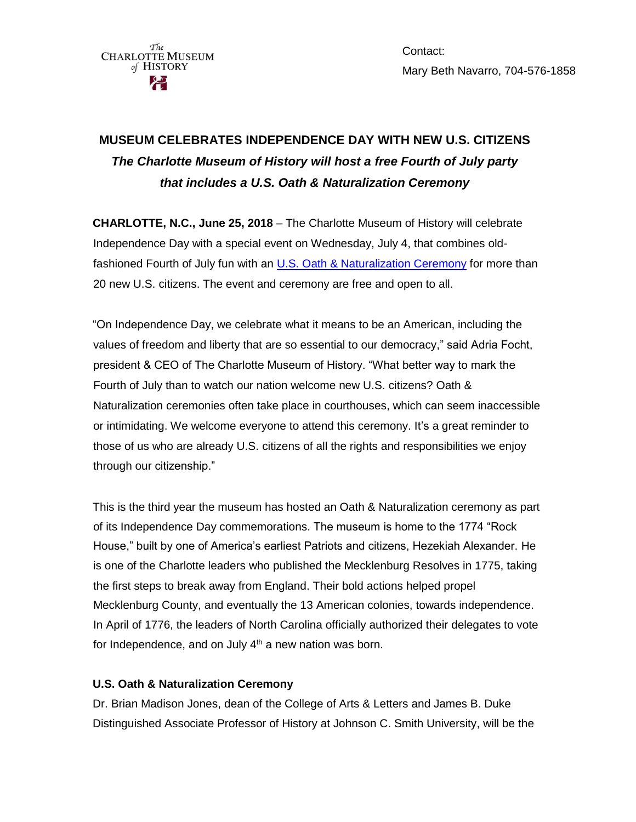Contact: Mary Beth Navarro, 704-576-1858

# **MUSEUM CELEBRATES INDEPENDENCE DAY WITH NEW U.S. CITIZENS** *The Charlotte Museum of History will host a free Fourth of July party that includes a U.S. Oath & Naturalization Ceremony*

**CHARLOTTE, N.C., June 25, 2018** – The Charlotte Museum of History will celebrate Independence Day with a special event on Wednesday, July 4, that combines oldfashioned Fourth of July fun with an [U.S. Oath & Naturalization Ceremony](https://www.uscis.gov/us-citizenship/naturalization-test/naturalization-oath-allegiance-united-states-america) for more than 20 new U.S. citizens. The event and ceremony are free and open to all.

"On Independence Day, we celebrate what it means to be an American, including the values of freedom and liberty that are so essential to our democracy," said Adria Focht, president & CEO of The Charlotte Museum of History. "What better way to mark the Fourth of July than to watch our nation welcome new U.S. citizens? Oath & Naturalization ceremonies often take place in courthouses, which can seem inaccessible or intimidating. We welcome everyone to attend this ceremony. It's a great reminder to those of us who are already U.S. citizens of all the rights and responsibilities we enjoy through our citizenship."

This is the third year the museum has hosted an Oath & Naturalization ceremony as part of its Independence Day commemorations. The museum is home to the 1774 "Rock House," built by one of America's earliest Patriots and citizens, Hezekiah Alexander. He is one of the Charlotte leaders who published the Mecklenburg Resolves in 1775, taking the first steps to break away from England. Their bold actions helped propel Mecklenburg County, and eventually the 13 American colonies, towards independence. In April of 1776, the leaders of North Carolina officially authorized their delegates to vote for Independence, and on July  $4<sup>th</sup>$  a new nation was born.

#### **U.S. Oath & Naturalization Ceremony**

Dr. Brian Madison Jones, dean of the College of Arts & Letters and James B. Duke Distinguished Associate Professor of History at Johnson C. Smith University, will be the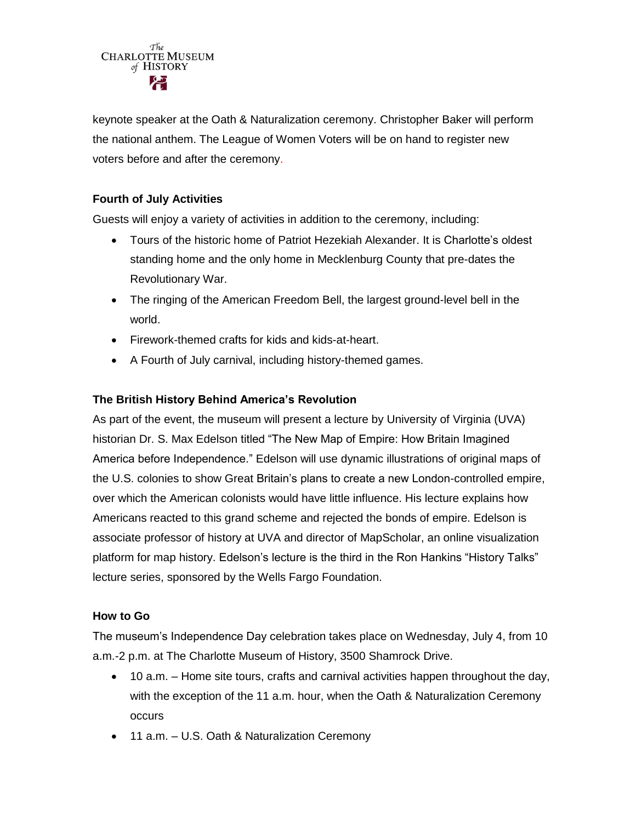

keynote speaker at the Oath & Naturalization ceremony. Christopher Baker will perform the national anthem. The League of Women Voters will be on hand to register new voters before and after the ceremony.

## **Fourth of July Activities**

Guests will enjoy a variety of activities in addition to the ceremony, including:

- Tours of the historic home of Patriot Hezekiah Alexander. It is Charlotte's oldest standing home and the only home in Mecklenburg County that pre-dates the Revolutionary War.
- The ringing of the American Freedom Bell, the largest ground-level bell in the world.
- Firework-themed crafts for kids and kids-at-heart.
- A Fourth of July carnival, including history-themed games.

## **The British History Behind America's Revolution**

As part of the event, the museum will present a lecture by University of Virginia (UVA) historian Dr. S. Max Edelson titled "The New Map of Empire: How Britain Imagined America before Independence." Edelson will use dynamic illustrations of original maps of the U.S. colonies to show Great Britain's plans to create a new London-controlled empire, over which the American colonists would have little influence. His lecture explains how Americans reacted to this grand scheme and rejected the bonds of empire. Edelson is associate professor of history at UVA and director of MapScholar, an online visualization platform for map history. Edelson's lecture is the third in the Ron Hankins "History Talks" lecture series, sponsored by the Wells Fargo Foundation.

#### **How to Go**

The museum's Independence Day celebration takes place on Wednesday, July 4, from 10 a.m.-2 p.m. at The Charlotte Museum of History, 3500 Shamrock Drive.

- 10 a.m. Home site tours, crafts and carnival activities happen throughout the day, with the exception of the 11 a.m. hour, when the Oath & Naturalization Ceremony occurs
- 11 a.m. U.S. Oath & Naturalization Ceremony